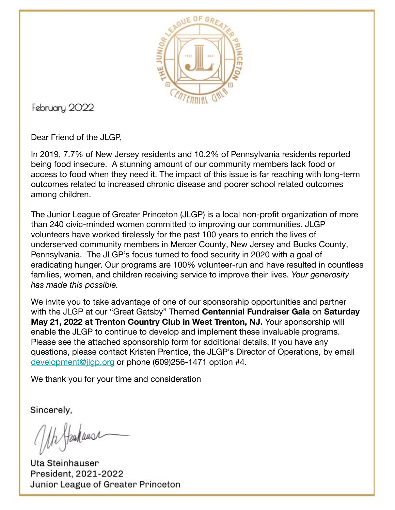

February 2022

Dear Friend of the JLGP,

In 2019, 7.7% of New Jersey residents and 10.2% of Pennsylvania residents reported being food insecure. A stunning amount of our community members lack food or access to food when they need it. The impact of this issue is far reaching with long-term outcomes related to increased chronic disease and poorer school related outcomes among children.

The Junior League of Greater Princeton (JLGP) is a local non-profit organization of more than 240 civic-minded women committed to improving our communities. JLGP volunteers have worked tirelessly for the past 100 years to enrich the lives of underserved community members in Mercer County, New Jersey and Bucks County, Pennsylvania. The JLGP's focus turned to food security in 2020 with a goal of eradicating hunger. Our programs are 100% volunteer-run and have resulted in countless families, women, and children receiving service to improve their lives. *Your generosity has made this possible.* 

We invite you to take advantage of one of our sponsorship opportunities and partner with the JLGP at our "Great Gatsby" Themed **Centennial Fundraiser Gala** on **Saturday May 21, 2022 at Trenton Country Club in West Trenton, NJ.** Your sponsorship will enable the JLGP to continue to develop and implement these invaluable programs. Please see the attached sponsorship form for additional details. If you have any questions, please contact Kristen Prentice, the JLGP's Director of Operations, by email [development@jlgp.org](mailto:development@jlgp.org) or phone (609)256-1471 option #4.

We thank you for your time and consideration

Sincerely,

Uh Stanhause

**Uta Steinhauser** President, 2021-2022 Junior League of Greater Princeton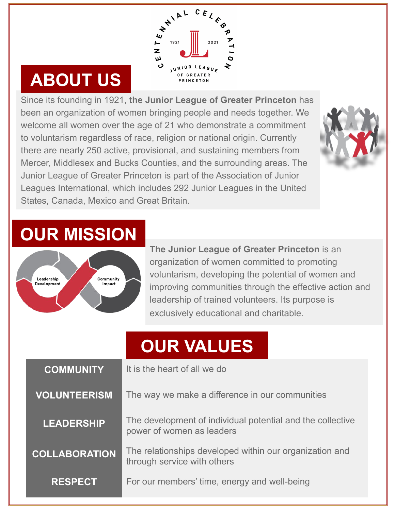

#### **ABOUT US**

Since its founding in 1921, **the Junior League of Greater Princeton** has been an organization of women bringing people and needs together. We welcome all women over the age of 21 who demonstrate a commitment to voluntarism regardless of race, religion or national origin. Currently there are nearly 250 active, provisional, and sustaining members from Mercer, Middlesex and Bucks Counties, and the surrounding areas. The Junior League of Greater Princeton is part of the Association of Junior Leagues International, which includes 292 Junior Leagues in the United States, Canada, Mexico and Great Britain.



#### **OUR MISSION**



**The Junior League of Greater Princeton** is an organization of women committed to promoting voluntarism, developing the potential of women and improving communities through the effective action and leadership of trained volunteers. Its purpose is exclusively educational and charitable.

#### **OUR VALUES**

| <b>COMMUNITY</b>     | It is the heart of all we do                                                            |  |
|----------------------|-----------------------------------------------------------------------------------------|--|
| <b>VOLUNTEERISM</b>  | The way we make a difference in our communities                                         |  |
| <b>LEADERSHIP</b>    | The development of individual potential and the collective<br>power of women as leaders |  |
| <b>COLLABORATION</b> | The relationships developed within our organization and<br>through service with others  |  |
| <b>RESPECT</b>       | For our members' time, energy and well-being                                            |  |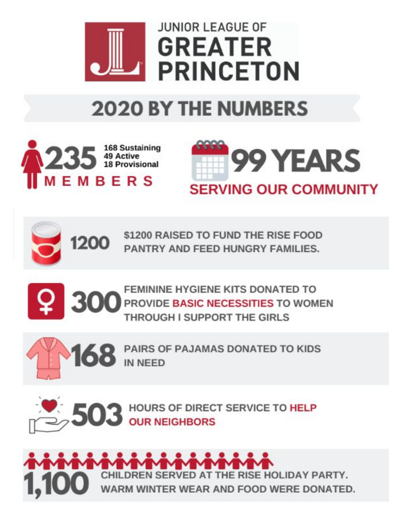

## **2020 BY THE NUMBERS**







\$1200 RAISED TO FUND THE RISE FOOD PANTRY AND FEED HUNGRY FAMILIES.







PAIRS OF PAJAMAS DONATED TO KIDS **IN NEED** 



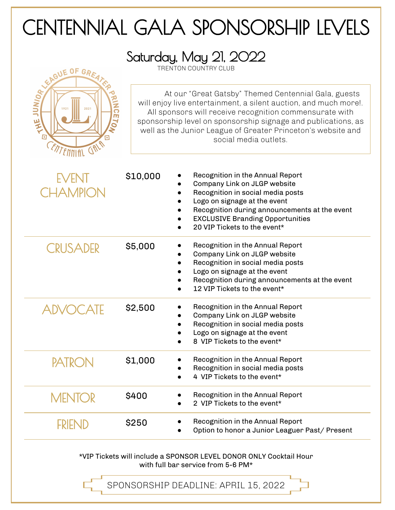### CENTENNIAL GALA SPONSORSHIP LEVELS

Saturday, May 21, 2022

TRENTON COUNTRY CLUB



At our "Great Gatsby" Themed Centennial Gala, guests will enjoy live entertainment, a silent auction, and much more!. All sponsors will receive recognition commensurate with sponsorship level on sponsorship signage and publications, as well as the Junior League of Greater Princeton's website and social media outlets.

| EVENT<br><b>CHAMPION</b> | \$10,000 | Recognition in the Annual Report<br>Company Link on JLGP website<br>Recognition in social media posts<br>Logo on signage at the event<br>Recognition during announcements at the event<br><b>EXCLUSIVE Branding Opportunities</b><br>20 VIP Tickets to the event* |
|--------------------------|----------|-------------------------------------------------------------------------------------------------------------------------------------------------------------------------------------------------------------------------------------------------------------------|
| <b>CRUSADER</b>          | \$5,000  | Recognition in the Annual Report<br>Company Link on JLGP website<br>Recognition in social media posts<br>Logo on signage at the event<br>Recognition during announcements at the event<br>12 VIP Tickets to the event*                                            |
| <b>ADVOCATE</b>          | \$2,500  | Recognition in the Annual Report<br>Company Link on JLGP website<br>Recognition in social media posts<br>Logo on signage at the event<br>8 VIP Tickets to the event*                                                                                              |
| <b>PATRON</b>            | \$1,000  | Recognition in the Annual Report<br>Recognition in social media posts<br>4 VIP Tickets to the event*                                                                                                                                                              |
| <b>MENTOR</b>            | \$400    | Recognition in the Annual Report<br>2 VIP Tickets to the event*                                                                                                                                                                                                   |
| <b>FRIEND</b>            | \$250    | Recognition in the Annual Report<br>Option to honor a Junior Leaguer Past/ Present                                                                                                                                                                                |
|                          |          |                                                                                                                                                                                                                                                                   |

\*VIP Tickets will include a SPONSOR LEVEL DONOR ONLY Cocktail Hour with full bar service from 5-6 PM\*

SPONSORSHIP DEADLINE: APRIL 15, 2022